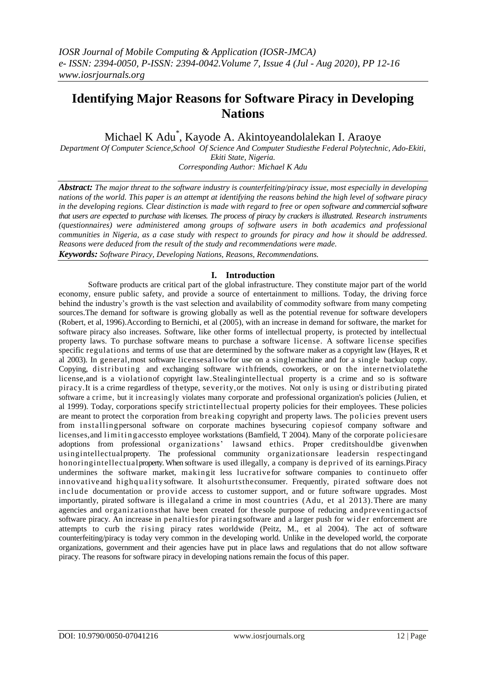# **Identifying Major Reasons for Software Piracy in Developing Nations**

Michael K Adu\* , Kayode A. Akintoyeandolalekan I. Araoye

*Department Of Computer Science,School Of Science And Computer Studiesthe Federal Polytechnic, Ado-Ekiti, Ekiti State, Nigeria.*

*Corresponding Author: Michael K Adu*

*Abstract: The major threat to the software industry is counterfeiting/piracy issue, most especially in developing nations of the world. This paper is an attempt at identifying the reasons behind the high level of software piracy in the developing regions. Clear distinction is made with regard to free or open software and commercial software that users are expected to purchase with licenses. The process of piracy by crackers is illustrated. Research instruments (questionnaires) were administered among groups of software users in both academics and professional communities in Nigeria, as a case study with respect to grounds for piracy and how it should be addressed. Reasons were deduced from the result of the study and recommendations were made. Keywords: Software Piracy, Developing Nations, Reasons, Recommendations.*

## **I. Introduction**

Software products are critical part of the global infrastructure. They constitute major part of the world economy, ensure public safety, and provide a source of entertainment to millions. Today, the driving force behind the industry's growth is the vast selection and availability of commodity software from many competing sources.The demand for software is growing globally as well as the potential revenue for software developers (Robert, et al, 1996).According to Bernichi, et al (2005), with an increase in demand for software, the market for software piracy also increases. Software, like other forms of intellectual property, is protected by intellectual property laws. To purchase software means to purchase a software license. A software license specifies specific regulations and terms of use that are determined by the software maker as a copyright law (Hayes, R et al 2003). In general,most software licensesallowfor use on a singlemachine and for a single backup copy. Copying, distributing and exchanging software withfriends, coworkers, or on the internetviolatethe license,and is a violationof copyright law.Stealingintellectual property is a crime and so is software piracy.It is a crime regardless of thetype, severity,or the motives. Not only is using or distributing pirated software a crime, but it increasingly violates many corporate and professional organization's policies (Julien, et al 1999). Today, corporations specify strictintellectual property policies for their employees. These policies are meant to protect the corporation from breaking copyright and property laws. The policies prevent users from installingpersonal software on corporate machines bysecuring copiesof company software and licenses, and limit in g access to employee workstations (Bamfield, T 2004). Many of the corporate policies are adoptions from professional organizations' lawsand ethics. Proper creditshouldbe given when usingintellectualproperty. The professional community organizationsare leadersin respectingand honoringintellectualproperty. When software is used illegally, a company is deprived of its earnings.Piracy undermines the software market, makingit less lucrativefor software companies to continueto offer innovative and highquality software. It alsohurts the consumer. Frequently, pirated software does not include documentation or provide access to customer support, and or future software upgrades. Most importantly, pirated software is illegaland a crime in most countries (Adu, et al 2013).There are many agencies and organizationsthat have been created for thesole purpose of reducing andpreventingactsof software piracy. An increase in penaltiesfor piratingsoftware and a larger push for wid er enforcement are attempts to curb the rising piracy rates worldwide (Peitz, M., et al 2004). The act of software counterfeiting/piracy is today very common in the developing world. Unlike in the developed world, the corporate organizations, government and their agencies have put in place laws and regulations that do not allow software piracy. The reasons for software piracy in developing nations remain the focus of this paper.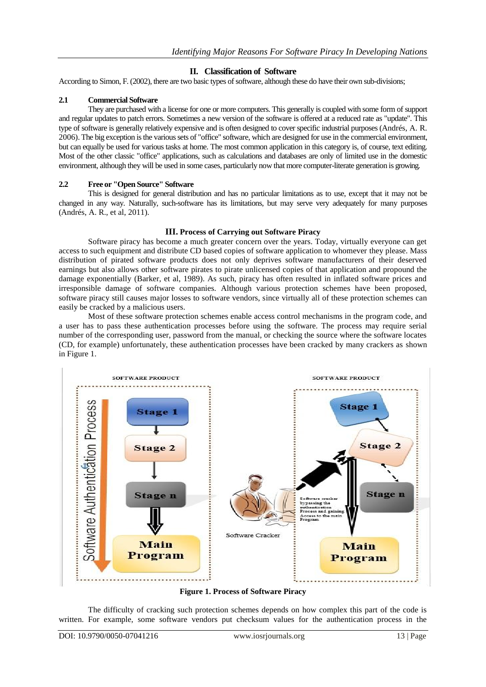## **II. Classification of Software**

According to Simon, F. (2002), there are two basic types of software, although these do have their own sub-divisions;

#### **2.1 Commercial Software**

They are purchased with a license for one or more computers. This generally is coupled with some form of support and regular updates to patch errors. Sometimes a new version of the software is offered at a reduced rate as "update". This type of software is generally relatively expensive and is often designed to cover specific industrial purposes (Andrés, A. R. 2006). The big exception is the various sets of "office" software, which are designed for use in the commercial environment, but can equally be used for various tasks at home. The most common application in this category is, of course, text editing. Most of the other classic "office" applications, such as calculations and databases are only of limited use in the domestic environment, although they will be used in some cases, particularly now that more computer-literate generation is growing.

#### **2.2 Free or "Open Source" Software**

This is designed for general distribution and has no particular limitations as to use, except that it may not be changed in any way. Naturally, such-software has its limitations, but may serve very adequately for many purposes (Andrés, A. R., et al, 2011).

#### **III. Process of Carrying out Software Piracy**

Software piracy has become a much greater concern over the years. Today, virtually everyone can get access to such equipment and distribute CD based copies of software application to whomever they please. Mass distribution of pirated software products does not only deprives software manufacturers of their deserved earnings but also allows other software pirates to pirate unlicensed copies of that application and propound the damage exponentially (Barker, et al, 1989). As such, piracy has often resulted in inflated software prices and irresponsible damage of software companies. Although various protection schemes have been proposed, software piracy still causes major losses to software vendors, since virtually all of these protection schemes can easily be cracked by a malicious users.

Most of these software protection schemes enable access control mechanisms in the program code, and a user has to pass these authentication processes before using the software. The process may require serial number of the corresponding user, password from the manual, or checking the source where the software locates (CD, for example) unfortunately, these authentication processes have been cracked by many crackers as shown in Figure 1.



**Figure 1. Process of Software Piracy**

The difficulty of cracking such protection schemes depends on how complex this part of the code is written. For example, some software vendors put checksum values for the authentication process in the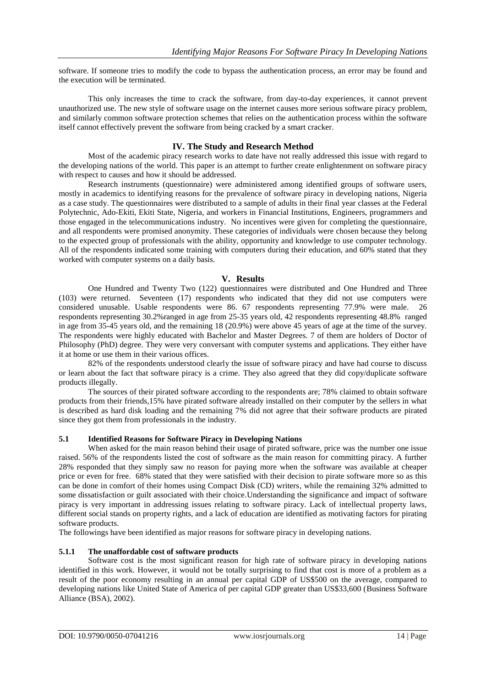software. If someone tries to modify the code to bypass the authentication process, an error may be found and the execution will be terminated.

This only increases the time to crack the software, from day-to-day experiences, it cannot prevent unauthorized use. The new style of software usage on the internet causes more serious software piracy problem, and similarly common software protection schemes that relies on the authentication process within the software itself cannot effectively prevent the software from being cracked by a smart cracker.

#### **IV. The Study and Research Method**

Most of the academic piracy research works to date have not really addressed this issue with regard to the developing nations of the world. This paper is an attempt to further create enlightenment on software piracy with respect to causes and how it should be addressed.

Research instruments (questionnaire) were administered among identified groups of software users, mostly in academics to identifying reasons for the prevalence of software piracy in developing nations, Nigeria as a case study. The questionnaires were distributed to a sample of adults in their final year classes at the Federal Polytechnic, Ado-Ekiti, Ekiti State, Nigeria, and workers in Financial Institutions, Engineers, programmers and those engaged in the telecommunications industry. No incentives were given for completing the questionnaire, and all respondents were promised anonymity. These categories of individuals were chosen because they belong to the expected group of professionals with the ability, opportunity and knowledge to use computer technology. All of the respondents indicated some training with computers during their education, and 60% stated that they worked with computer systems on a daily basis.

#### **V. Results**

One Hundred and Twenty Two (122) questionnaires were distributed and One Hundred and Three (103) were returned. Seventeen (17) respondents who indicated that they did not use computers were considered unusable. Usable respondents were 86. 67 respondents representing 77.9% were male. 26 respondents representing 30.2%ranged in age from 25-35 years old, 42 respondents representing 48.8% ranged in age from 35-45 years old, and the remaining 18 (20.9%) were above 45 years of age at the time of the survey. The respondents were highly educated with Bachelor and Master Degrees. 7 of them are holders of Doctor of Philosophy (PhD) degree. They were very conversant with computer systems and applications. They either have it at home or use them in their various offices.

82% of the respondents understood clearly the issue of software piracy and have had course to discuss or learn about the fact that software piracy is a crime. They also agreed that they did copy/duplicate software products illegally.

The sources of their pirated software according to the respondents are; 78% claimed to obtain software products from their friends,15% have pirated software already installed on their computer by the sellers in what is described as hard disk loading and the remaining 7% did not agree that their software products are pirated since they got them from professionals in the industry.

#### **5.1 Identified Reasons for Software Piracy in Developing Nations**

When asked for the main reason behind their usage of pirated software, price was the number one issue raised. 56% of the respondents listed the cost of software as the main reason for committing piracy. A further 28% responded that they simply saw no reason for paying more when the software was available at cheaper price or even for free. 68% stated that they were satisfied with their decision to pirate software more so as this can be done in comfort of their homes using Compact Disk (CD) writers, while the remaining 32% admitted to some dissatisfaction or guilt associated with their choice.Understanding the significance and impact of software piracy is very important in addressing issues relating to software piracy. Lack of intellectual property laws, different social stands on property rights, and a lack of education are identified as motivating factors for pirating software products.

The followings have been identified as major reasons for software piracy in developing nations.

#### **5.1.1 The unaffordable cost of software products**

Software cost is the most significant reason for high rate of software piracy in developing nations identified in this work. However, it would not be totally surprising to find that cost is more of a problem as a result of the poor economy resulting in an annual per capital GDP of US\$500 on the average, compared to developing nations like United State of America of per capital GDP greater than US\$33,600 (Business Software Alliance (BSA), 2002).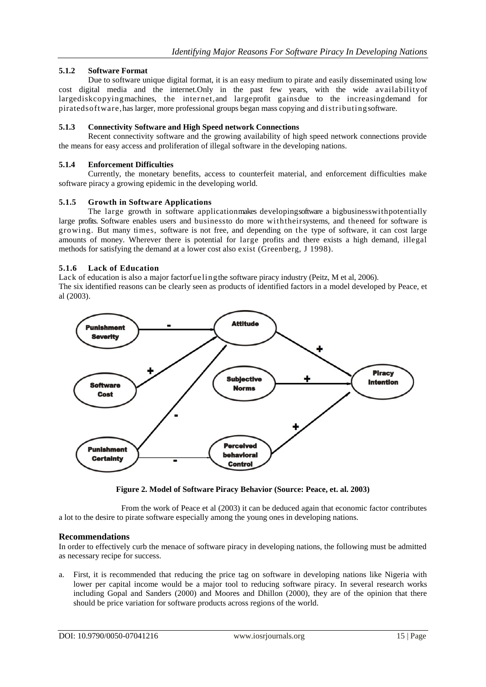## **5.1.2 Software Format**

Due to software unique digital format, it is an easy medium to pirate and easily disseminated using low cost digital media and the internet.Only in the past few years, with the wide availabilityof largediskcopyingmachines, the internet,and largeprofit gainsdue to the increasingdemand for piratedsoftware,has larger, more professional groups began mass copying and distributingsoftware.

#### **5.1.3 Connectivity Software and High Speed network Connections**

Recent connectivity software and the growing availability of high speed network connections provide the means for easy access and proliferation of illegal software in the developing nations.

#### **5.1.4 Enforcement Difficulties**

Currently, the monetary benefits, access to counterfeit material, and enforcement difficulties make software piracy a growing epidemic in the developing world.

#### **5.1.5 Growth in Software Applications**

The large growth in software applicationmakes developingsoftware a bigbusinesswithpotentially large profits. Software enables users and businessto do more withtheirsystems, and theneed for software is growing. But many times, software is not free, and depending on the type of software, it can cost large amounts of money. Wherever there is potential for large profits and there exists a high demand, illegal methods for satisfying the demand at a lower cost also exist (Greenberg, J 1998).

#### **5.1.6 Lack of Education**

Lack of education is also a major factorfuelingthe software piracy industry (Peitz, M et al, 2006). The six identified reasons can be clearly seen as products of identified factors in a model developed by Peace, et al (2003).



**Figure 2. Model of Software Piracy Behavior (Source: Peace, et. al. 2003)**

From the work of Peace et al (2003) it can be deduced again that economic factor contributes a lot to the desire to pirate software especially among the young ones in developing nations.

#### **Recommendations**

In order to effectively curb the menace of software piracy in developing nations, the following must be admitted as necessary recipe for success.

a. First, it is recommended that reducing the price tag on software in developing nations like Nigeria with lower per capital income would be a major tool to reducing software piracy. In several research works including Gopal and Sanders (2000) and Moores and Dhillon (2000), they are of the opinion that there should be price variation for software products across regions of the world.